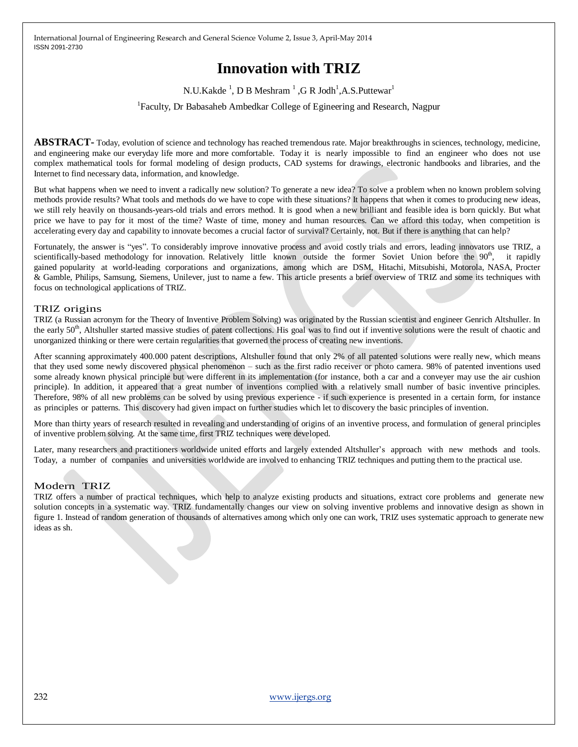# **Innovation with TRIZ**

N.U.Kakde<sup>1</sup>, D B Meshram<sup>1</sup>, G R Jodh<sup>1</sup>, A.S.Puttewar<sup>1</sup>

<sup>1</sup>Faculty, Dr Babasaheb Ambedkar College of Egineering and Research, Nagpur

**ABSTRACT-** Today, evolution of science and technology has reached tremendous rate. Major breakthroughs in sciences, technology, medicine, and engineering make our everyday life more and more comfortable. Today it is nearly impossible to find an engineer who does not use complex mathematical tools for formal modeling of design products, CAD systems for drawings, electronic handbooks and libraries, and the Internet to find necessary data, information, and knowledge.

But what happens when we need to invent a radically new solution? To generate a new idea? To solve a problem when no known problem solving methods provide results? What tools and methods do we have to cope with these situations? It happens that when it comes to producing new ideas, we still rely heavily on thousands-years-old trials and errors method. It is good when a new brilliant and feasible idea is born quickly. But what price we have to pay for it most of the time? Waste of time, money and human resources. Can we afford this today, when competition is accelerating every day and capability to innovate becomes a crucial factor of survival? Certainly, not. But if there is anything that can help?

Fortunately, the answer is "yes". To considerably improve innovative process and avoid costly trials and errors, leading innovators use TRIZ, a scientifically-based methodology for innovation. Relatively little known outside the former Soviet Union before the 90<sup>th</sup>, it rapidly gained popularity at world-leading corporations and organizations, among which are DSM, Hitachi, Mitsubishi, Motorola, NASA, Procter & Gamble, Philips, Samsung, Siemens, Unilever, just to name a few. This article presents a brief overview of TRIZ and some its techniques with focus on technological applications of TRIZ.

#### TRIZ origins

TRIZ (a Russian acronym for the Theory of Inventive Problem Solving) was originated by the Russian scientist and engineer Genrich Altshuller. In the early 50<sup>th</sup>, Altshuller started massive studies of patent collections. His goal was to find out if inventive solutions were the result of chaotic and unorganized thinking or there were certain regularities that governed the process of creating new inventions.

After scanning approximately 400.000 patent descriptions, Altshuller found that only 2% of all patented solutions were really new, which means that they used some newly discovered physical phenomenon – such as the first radio receiver or photo camera. 98% of patented inventions used some already known physical principle but were different in its implementation (for instance, both a car and a conveyer may use the air cushion principle). In addition, it appeared that a great number of inventions complied with a relatively small number of basic inventive principles. Therefore, 98% of all new problems can be solved by using previous experience - if such experience is presented in a certain form, for instance as principles or patterns. This discovery had given impact on further studies which let to discovery the basic principles of invention.

More than thirty years of research resulted in revealing and understanding of origins of an inventive process, and formulation of general principles of inventive problem solving. At the same time, first TRIZ techniques were developed.

Later, many researchers and practitioners worldwide united efforts and largely extended Altshuller's approach with new methods and tools. Today, a number of companies and universities worldwide are involved to enhancing TRIZ techniques and putting them to the practical use.

#### Modern TRIZ

TRIZ offers a number of practical techniques, which help to analyze existing products and situations, extract core problems and generate new solution concepts in a systematic way. TRIZ fundamentally changes our view on solving inventive problems and innovative design as shown in figure 1. Instead of random generation of thousands of alternatives among which only one can work, TRIZ uses systematic approach to generate new ideas as sh.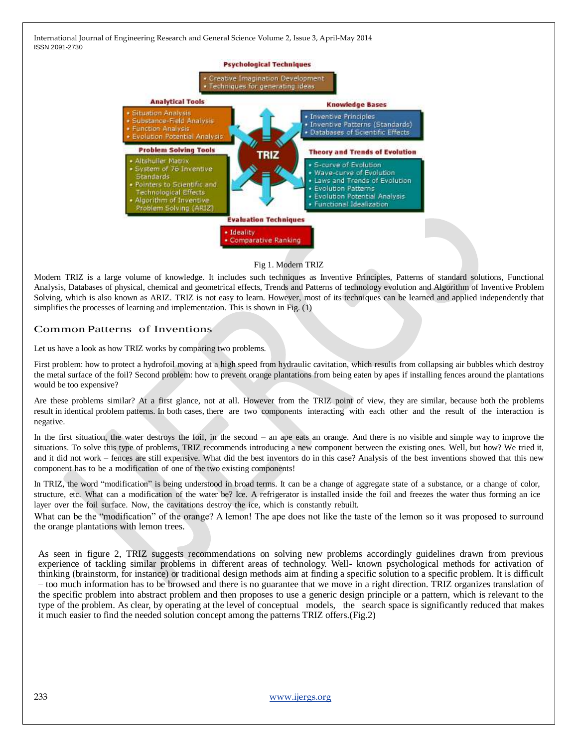

#### Fig 1. Modern TRIZ

Modern TRIZ is a large volume of knowledge. It includes such techniques as Inventive Principles, Patterns of standard solutions, Functional Analysis, Databases of physical, chemical and geometrical effects, Trends and Patterns of technology evolution and Algorithm of Inventive Problem Solving, which is also known as ARIZ. TRIZ is not easy to learn. However, most of its techniques can be learned and applied independently that simplifies the processes of learning and implementation. This is shown in Fig. (1)

### Common Patterns of Inventions

Let us have a look as how TRIZ works by comparing two problems.

First problem: how to protect a hydrofoil moving at a high speed from hydraulic cavitation, which results from collapsing air bubbles which destroy the metal surface of the foil? Second problem: how to prevent orange plantations from being eaten by apes if installing fences around the plantations would be too expensive?

Are these problems similar? At a first glance, not at all. However from the TRIZ point of view, they are similar, because both the problems result in identical problem patterns. In both cases, there are two components interacting with each other and the result of the interaction is negative.

In the first situation, the water destroys the foil, in the second – an ape eats an orange. And there is no visible and simple way to improve the situations. To solve this type of problems, TRIZ recommends introducing a new component between the existing ones. Well, but how? We tried it, and it did not work – fences are still expensive. What did the best inventors do in this case? Analysis of the best inventions showed that this new component has to be a modification of one of the two existing components!

In TRIZ, the word "modification" is being understood in broad terms. It can be a change of aggregate state of a substance, or a change of color, structure, etc. What can a modification of the water be? Ice. A refrigerator is installed inside the foil and freezes the water thus forming an ice layer over the foil surface. Now, the cavitations destroy the ice, which is constantly rebuilt.

What can be the "modification" of the orange? A lemon! The ape does not like the taste of the lemon so it was proposed to surround the orange plantations with lemon trees.

As seen in figure 2, TRIZ suggests recommendations on solving new problems accordingly guidelines drawn from previous experience of tackling similar problems in different areas of technology. Well- known psychological methods for activation of thinking (brainstorm, for instance) or traditional design methods aim at finding a specific solution to a specific problem. It is difficult – too much information has to be browsed and there is no guarantee that we move in a right direction. TRIZ organizes translation of the specific problem into abstract problem and then proposes to use a generic design principle or a pattern, which is relevant to the type of the problem. As clear, by operating at the level of conceptual models, the search space is significantly reduced that makes it much easier to find the needed solution concept among the patterns TRIZ offers.(Fig.2)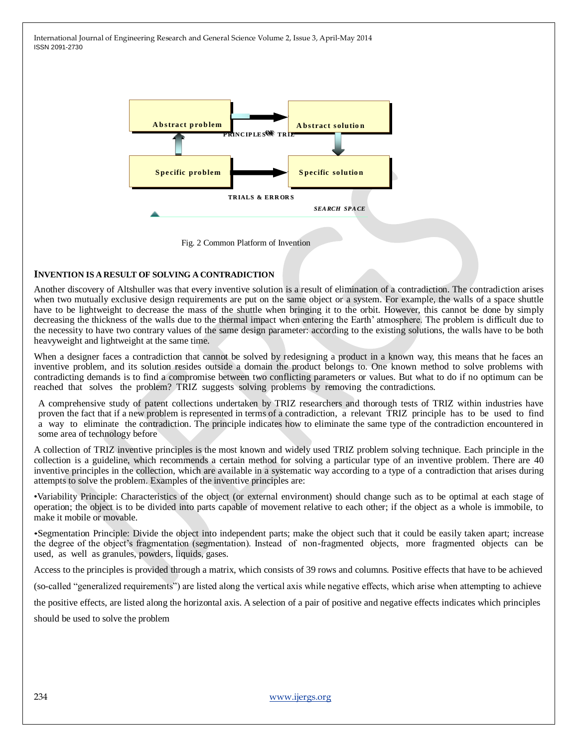



#### **INVENTION IS A RESULT OF SOLVING A CONTRADICTION**

Another discovery of Altshuller was that every inventive solution is a result of elimination of a contradiction. The contradiction arises when two mutually exclusive design requirements are put on the same object or a system. For example, the walls of a space shuttle have to be lightweight to decrease the mass of the shuttle when bringing it to the orbit. However, this cannot be done by simply decreasing the thickness of the walls due to the thermal impact when entering the Earth' atmosphere. The problem is difficult due to the necessity to have two contrary values of the same design parameter: according to the existing solutions, the walls have to be both heavyweight and lightweight at the same time.

When a designer faces a contradiction that cannot be solved by redesigning a product in a known way, this means that he faces an inventive problem, and its solution resides outside a domain the product belongs to. One known method to solve problems with contradicting demands is to find a compromise between two conflicting parameters or values. But what to do if no optimum can be reached that solves the problem? TRIZ suggests solving problems by removing the contradictions.

A comprehensive study of patent collections undertaken by TRIZ researchers and thorough tests of TRIZ within industries have proven the fact that if a new problem is represented in terms of a contradiction, a relevant TRIZ principle has to be used to find a way to eliminate the contradiction. The principle indicates how to eliminate the same type of the contradiction encountered in some area of technology before

A collection of TRIZ inventive principles is the most known and widely used TRIZ problem solving technique. Each principle in the collection is a guideline, which recommends a certain method for solving a particular type of an inventive problem. There are 40 inventive principles in the collection, which are available in a systematic way according to a type of a contradiction that arises during attempts to solve the problem. Examples of the inventive principles are:

•Variability Principle: Characteristics of the object (or external environment) should change such as to be optimal at each stage of operation; the object is to be divided into parts capable of movement relative to each other; if the object as a whole is immobile, to make it mobile or movable.

•Segmentation Principle: Divide the object into independent parts; make the object such that it could be easily taken apart; increase the degree of the object's fragmentation (segmentation). Instead of non-fragmented objects, more fragmented objects can be used, as well as granules, powders, liquids, gases.

Access to the principles is provided through a matrix, which consists of 39 rows and columns. Positive effects that have to be achieved

(so-called "generalized requirements") are listed along the vertical axis while negative effects, which arise when attempting to achieve

the positive effects, are listed along the horizontal axis. A selection of a pair of positive and negative effects indicates which principles

should be used to solve the problem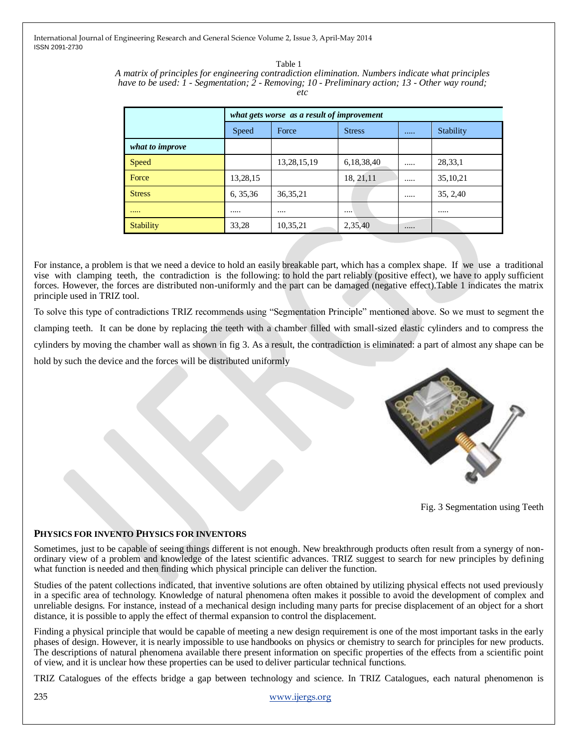> Table 1 *A matrix of principles for engineering contradiction elimination. Numbers indicate what principles have to be used: 1 - Segmentation; 2 - Removing; 10 - Preliminary action; 13 - Other way round; etc*

|                  | what gets worse as a result of improvement |                |               |  |            |
|------------------|--------------------------------------------|----------------|---------------|--|------------|
|                  | Speed                                      | Force          | <b>Stress</b> |  | Stability  |
| what to improve  |                                            |                |               |  |            |
| Speed            |                                            | 13, 28, 15, 19 | 6,18,38,40    |  | 28,33,1    |
| Force            | 13,28,15                                   |                | 18, 21, 11    |  | 35, 10, 21 |
| <b>Stress</b>    | 6, 35, 36                                  | 36, 35, 21     |               |  | 35, 2,40   |
| 1.1.1.1          | .                                          |                |               |  |            |
| <b>Stability</b> | 33,28                                      | 10,35,21       | 2,35,40       |  |            |

For instance, a problem is that we need a device to hold an easily breakable part, which has a complex shape. If we use a traditional vise with clamping teeth, the contradiction is the following: to hold the part reliably (positive effect), we have to apply sufficient forces. However, the forces are distributed non-uniformly and the part can be damaged (negative effect).Table 1 indicates the matrix principle used in TRIZ tool.

To solve this type of contradictions TRIZ recommends using "Segmentation Principle" mentioned above. So we must to segment the clamping teeth. It can be done by replacing the teeth with a chamber filled with small-sized elastic cylinders and to compress the cylinders by moving the chamber wall as shown in fig 3. As a result, the contradiction is eliminated: a part of almost any shape can be hold by such the device and the forces will be distributed uniformly



Fig. 3 Segmentation using Teeth

# **PHYSICS FOR INVENTO PHYSICS FOR INVENTORS**

Sometimes, just to be capable of seeing things different is not enough. New breakthrough products often result from a synergy of nonordinary view of a problem and knowledge of the latest scientific advances. TRIZ suggest to search for new principles by defining what function is needed and then finding which physical principle can deliver the function.

Studies of the patent collections indicated, that inventive solutions are often obtained by utilizing physical effects not used previously in a specific area of technology. Knowledge of natural phenomena often makes it possible to avoid the development of complex and unreliable designs. For instance, instead of a mechanical design including many parts for precise displacement of an object for a short distance, it is possible to apply the effect of thermal expansion to control the displacement.

Finding a physical principle that would be capable of meeting a new design requirement is one of the most important tasks in the early phases of design. However, it is nearly impossible to use handbooks on physics or chemistry to search for principles for new products. The descriptions of natural phenomena available there present information on specific properties of the effects from a scientific point of view, and it is unclear how these properties can be used to deliver particular technical functions.

TRIZ Catalogues of the effects bridge a gap between technology and science. In TRIZ Catalogues, each natural phenomenon is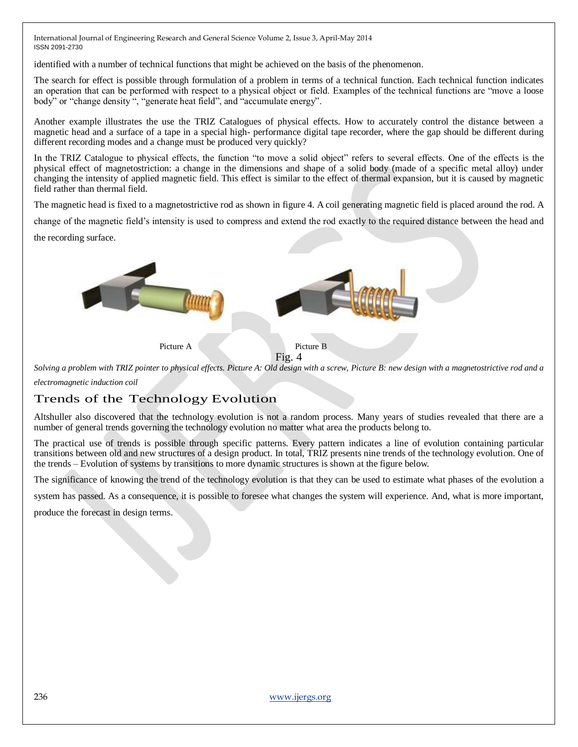identified with a number of technical functions that might be achieved on the basis of the phenomenon.

The search for effect is possible through formulation of a problem in terms of a technical function. Each technical function indicates an operation that can be performed with respect to a physical object or field. Examples of the technical functions are "move a loose body" or "change density ", "generate heat field", and "accumulate energy".

Another example illustrates the use the TRIZ Catalogues of physical effects. How to accurately control the distance between a magnetic head and a surface of a tape in a special high- performance digital tape recorder, where the gap should be different during different recording modes and a change must be produced very quickly?

In the TRIZ Catalogue to physical effects, the function "to move a solid object" refers to several effects. One of the effects is the physical effect of magnetostriction: a change in the dimensions and shape of a solid body (made of a specific metal alloy) under changing the intensity of applied magnetic field. This effect is similar to the effect of thermal expansion, but it is caused by magnetic field rather than thermal field.

The magnetic head is fixed to a magnetostrictive rod as shown in figure 4. A coil generating magnetic field is placed around the rod. A

change of the magnetic field's intensity is used to compress and extend the rod exactly to the required distance between the head and

the recording surface.



*Solving a problem with TRIZ pointer to physical effects. Picture A: Old design with a screw, Picture B: new design with a magnetostrictive rod and a electromagnetic induction coil*

# Trends of the Technology Evolution

Altshuller also discovered that the technology evolution is not a random process. Many years of studies revealed that there are a number of general trends governing the technology evolution no matter what area the products belong to.

The practical use of trends is possible through specific patterns. Every pattern indicates a line of evolution containing particular transitions between old and new structures of a design product. In total, TRIZ presents nine trends of the technology evolution. One of the trends – Evolution of systems by transitions to more dynamic structures is shown at the figure below.

The significance of knowing the trend of the technology evolution is that they can be used to estimate what phases of the evolution a

system has passed. As a consequence, it is possible to foresee what changes the system will experience. And, what is more important,

produce the forecast in design terms.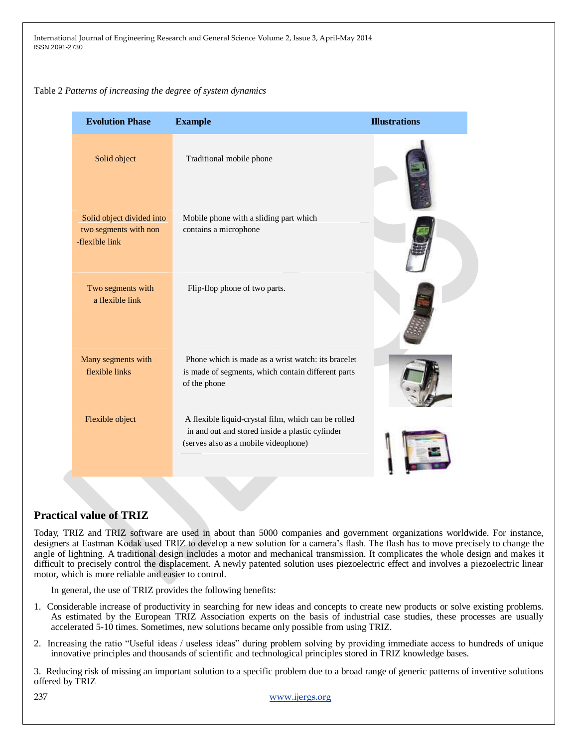#### Table 2 *Patterns of increasing the degree of system dynamics*

| <b>Evolution Phase</b>                                               | <b>Example</b>                                                                                                                                 | <b>Illustrations</b> |
|----------------------------------------------------------------------|------------------------------------------------------------------------------------------------------------------------------------------------|----------------------|
| Solid object                                                         | Traditional mobile phone                                                                                                                       |                      |
| Solid object divided into<br>two segments with non<br>-flexible link | Mobile phone with a sliding part which<br>contains a microphone                                                                                |                      |
| Two segments with<br>a flexible link                                 | Flip-flop phone of two parts.                                                                                                                  |                      |
| Many segments with<br>flexible links                                 | Phone which is made as a wrist watch: its bracelet<br>is made of segments, which contain different parts<br>of the phone                       |                      |
| Flexible object                                                      | A flexible liquid-crystal film, which can be rolled<br>in and out and stored inside a plastic cylinder<br>(serves also as a mobile videophone) |                      |

# **Practical value of TRIZ**

Today, TRIZ and TRIZ software are used in about than 5000 companies and government organizations worldwide. For instance, designers at Eastman Kodak used TRIZ to develop a new solution for a camera's flash. The flash has to move precisely to change the angle of lightning. A traditional design includes a motor and mechanical transmission. It complicates the whole design and makes it difficult to precisely control the displacement. A newly patented solution uses piezoelectric effect and involves a piezoelectric linear motor, which is more reliable and easier to control.

In general, the use of TRIZ provides the following benefits:

- 1. Considerable increase of productivity in searching for new ideas and concepts to create new products or solve existing problems. As estimated by the European TRIZ Association experts on the basis of industrial case studies, these processes are usually accelerated 5-10 times. Sometimes, new solutions became only possible from using TRIZ.
- 2. Increasing the ratio "Useful ideas / useless ideas" during problem solving by providing immediate access to hundreds of unique innovative principles and thousands of scientific and technological principles stored in TRIZ knowledge bases.

3. Reducing risk of missing an important solution to a specific problem due to a broad range of generic patterns of inventive solutions offered by TRIZ